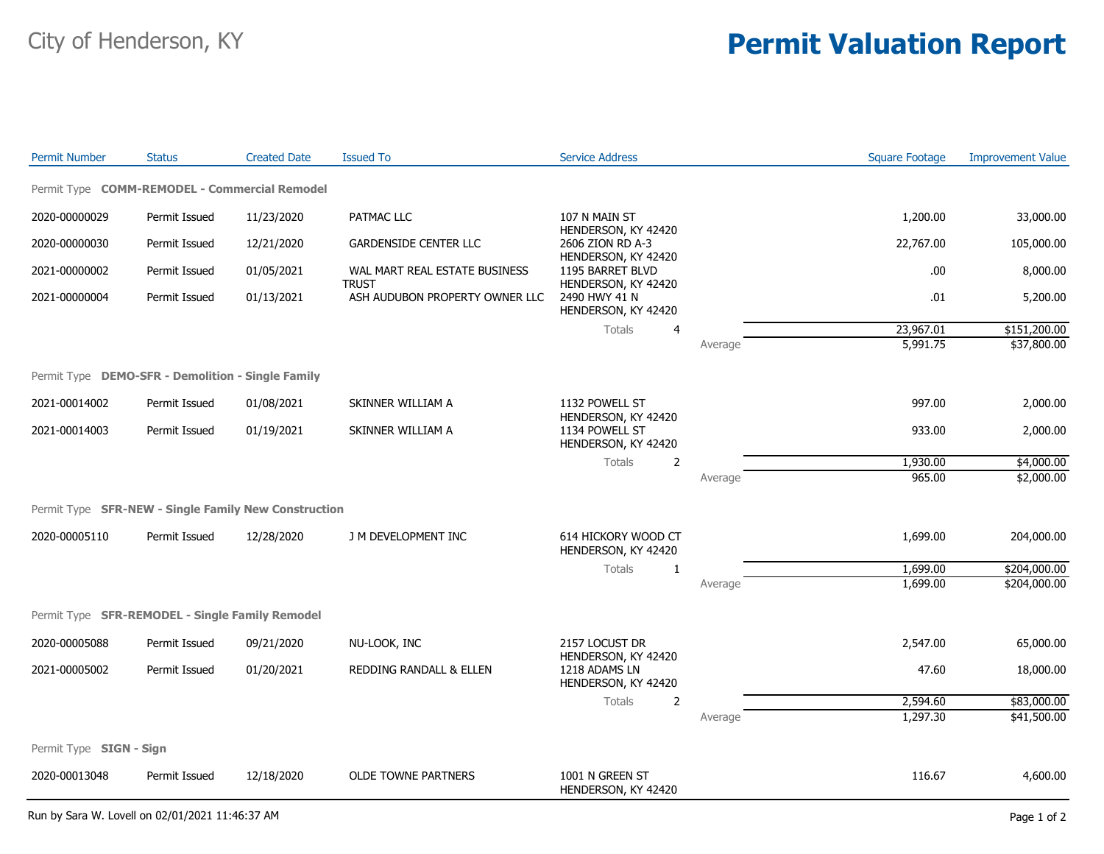## City of Henderson, KY **Permit Valuation Report**

| <b>Permit Number</b>                                 | <b>Status</b> | <b>Created Date</b> | <b>Issued To</b>                               | <b>Service Address</b>                                       |         | <b>Square Footage</b> | <b>Improvement Value</b> |  |  |  |  |
|------------------------------------------------------|---------------|---------------------|------------------------------------------------|--------------------------------------------------------------|---------|-----------------------|--------------------------|--|--|--|--|
| Permit Type COMM-REMODEL - Commercial Remodel        |               |                     |                                                |                                                              |         |                       |                          |  |  |  |  |
| 2020-00000029                                        | Permit Issued | 11/23/2020          | PATMAC LLC                                     | 107 N MAIN ST                                                |         | 1,200.00              | 33,000.00                |  |  |  |  |
| 2020-00000030                                        | Permit Issued | 12/21/2020          | <b>GARDENSIDE CENTER LLC</b>                   | HENDERSON, KY 42420<br>2606 ZION RD A-3                      |         | 22,767.00             | 105,000.00               |  |  |  |  |
| 2021-00000002                                        | Permit Issued | 01/05/2021          | WAL MART REAL ESTATE BUSINESS                  | HENDERSON, KY 42420<br>1195 BARRET BLVD                      |         | .00.                  | 8,000.00                 |  |  |  |  |
| 2021-00000004                                        | Permit Issued | 01/13/2021          | <b>TRUST</b><br>ASH AUDUBON PROPERTY OWNER LLC | HENDERSON, KY 42420<br>2490 HWY 41 N<br>HENDERSON, KY 42420  |         | .01                   | 5,200.00                 |  |  |  |  |
|                                                      |               |                     |                                                | Totals<br>$\overline{4}$                                     |         | 23,967.01             | \$151,200.00             |  |  |  |  |
|                                                      |               |                     |                                                |                                                              | Average | 5,991.75              | \$37,800.00              |  |  |  |  |
| Permit Type DEMO-SFR - Demolition - Single Family    |               |                     |                                                |                                                              |         |                       |                          |  |  |  |  |
| 2021-00014002                                        | Permit Issued | 01/08/2021          | SKINNER WILLIAM A                              | 1132 POWELL ST                                               |         | 997.00                | 2,000.00                 |  |  |  |  |
| 2021-00014003                                        | Permit Issued | 01/19/2021          | SKINNER WILLIAM A                              | HENDERSON, KY 42420<br>1134 POWELL ST<br>HENDERSON, KY 42420 |         | 933.00                | 2,000.00                 |  |  |  |  |
|                                                      |               |                     |                                                | Totals<br>$\overline{2}$                                     |         | 1,930.00              | \$4,000.00               |  |  |  |  |
|                                                      |               |                     |                                                |                                                              | Average | 965.00                | \$2,000.00               |  |  |  |  |
| Permit Type SFR-NEW - Single Family New Construction |               |                     |                                                |                                                              |         |                       |                          |  |  |  |  |
| 2020-00005110                                        | Permit Issued | 12/28/2020          | J M DEVELOPMENT INC                            | 614 HICKORY WOOD CT<br>HENDERSON, KY 42420                   |         | 1,699.00              | 204,000.00               |  |  |  |  |
|                                                      |               |                     |                                                | Totals<br>1                                                  |         | 1,699.00              | \$204,000.00             |  |  |  |  |
|                                                      |               |                     |                                                |                                                              | Average | 1,699.00              | \$204,000.00             |  |  |  |  |
| Permit Type SFR-REMODEL - Single Family Remodel      |               |                     |                                                |                                                              |         |                       |                          |  |  |  |  |
| 2020-00005088                                        | Permit Issued | 09/21/2020          | NU-LOOK, INC                                   | 2157 LOCUST DR                                               |         | 2,547.00              | 65,000.00                |  |  |  |  |
| 2021-00005002                                        | Permit Issued | 01/20/2021          | REDDING RANDALL & ELLEN                        | HENDERSON, KY 42420<br>1218 ADAMS LN<br>HENDERSON, KY 42420  |         | 47.60                 | 18,000.00                |  |  |  |  |
|                                                      |               |                     |                                                | Totals<br>2                                                  |         | 2,594.60              | \$83,000.00              |  |  |  |  |
|                                                      |               |                     |                                                |                                                              | Average | 1,297.30              | \$41,500.00              |  |  |  |  |
| Permit Type SIGN - Sign                              |               |                     |                                                |                                                              |         |                       |                          |  |  |  |  |
| 2020-00013048                                        | Permit Issued | 12/18/2020          | <b>OLDE TOWNE PARTNERS</b>                     | 1001 N GREEN ST<br>HENDERSON, KY 42420                       |         | 116.67                | 4,600.00                 |  |  |  |  |